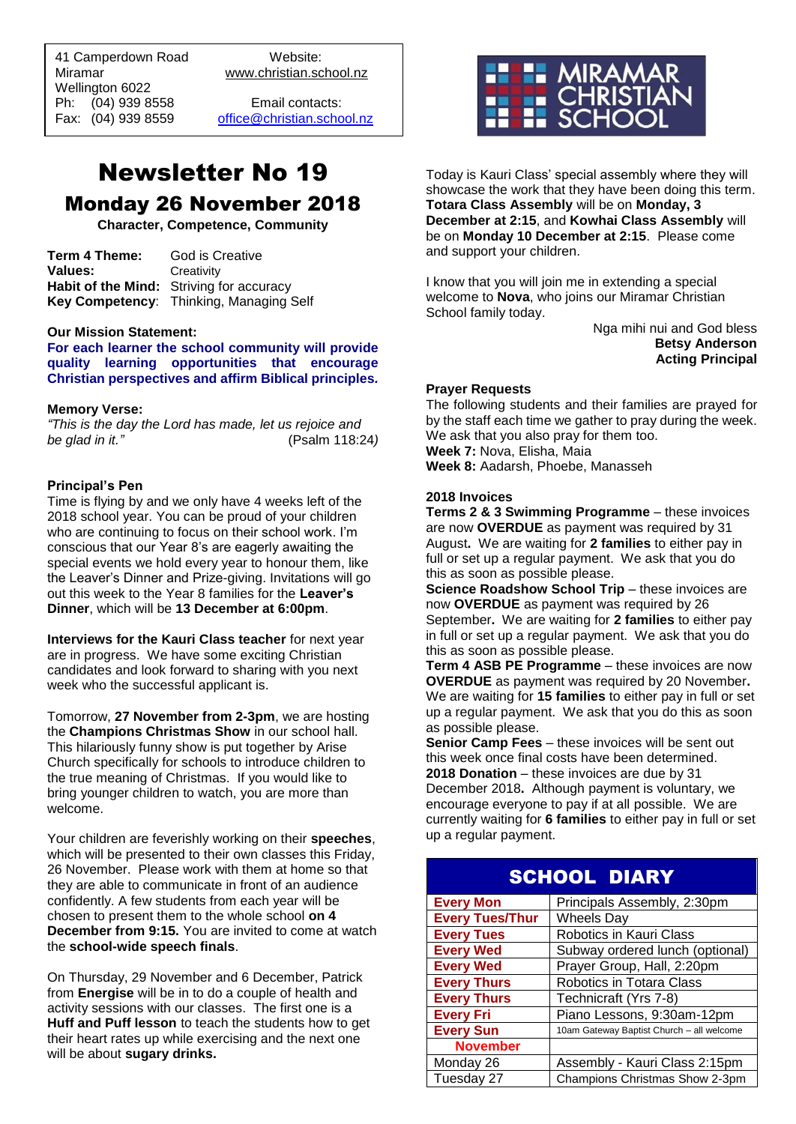41 Camperdown Road Website:<br>Miramar Www.christian.sc Wellington 6022 Ph: (04) 939 8558 Email contacts:

 $\overline{a}$ 

www.christian.school.nz

Fax: (04) 939 8559 [office@christian.school.nz](mailto:office@christian.school.nz)

## Newsletter No 19 Monday 26 November 2018

**Character, Competence, Community**

| Term 4 Theme:  | God is Creative                          |
|----------------|------------------------------------------|
| <b>Values:</b> | Creativity                               |
|                | Habit of the Mind: Striving for accuracy |
|                | Key Competency: Thinking, Managing Self  |

## **Our Mission Statement:**

**For each learner the school community will provide quality learning opportunities that encourage Christian perspectives and affirm Biblical principles***.*

## **Memory Verse:**

*"This is the day the Lord has made, let us rejoice and be glad in it."* (Psalm 118:24*)* 

## **Principal's Pen**

Time is flying by and we only have 4 weeks left of the 2018 school year. You can be proud of your children who are continuing to focus on their school work. I'm conscious that our Year 8's are eagerly awaiting the special events we hold every year to honour them, like the Leaver's Dinner and Prize-giving. Invitations will go out this week to the Year 8 families for the **Leaver's Dinner**, which will be **13 December at 6:00pm**.

**Interviews for the Kauri Class teacher** for next year are in progress. We have some exciting Christian candidates and look forward to sharing with you next week who the successful applicant is.

Tomorrow, **27 November from 2-3pm**, we are hosting the **Champions Christmas Show** in our school hall. This hilariously funny show is put together by Arise Church specifically for schools to introduce children to the true meaning of Christmas. If you would like to bring younger children to watch, you are more than welcome.

Your children are feverishly working on their **speeches**, which will be presented to their own classes this Friday, 26 November. Please work with them at home so that they are able to communicate in front of an audience confidently. A few students from each year will be chosen to present them to the whole school **on 4 December from 9:15.** You are invited to come at watch the **school-wide speech finals**.

On Thursday, 29 November and 6 December, Patrick from **Energise** will be in to do a couple of health and activity sessions with our classes. The first one is a **Huff and Puff lesson** to teach the students how to get their heart rates up while exercising and the next one will be about **sugary drinks.**



Today is Kauri Class' special assembly where they will showcase the work that they have been doing this term. **Totara Class Assembly** will be on **Monday, 3 December at 2:15**, and **Kowhai Class Assembly** will be on **Monday 10 December at 2:15**. Please come and support your children.

I know that you will join me in extending a special welcome to **Nova**, who joins our Miramar Christian School family today.

Nga mihi nui and God bless **Betsy Anderson Acting Principal**

## **Prayer Requests**

The following students and their families are prayed for by the staff each time we gather to pray during the week. We ask that you also pray for them too. **Week 7:** Nova, Elisha, Maia

**Week 8:** Aadarsh, Phoebe, Manasseh

## **2018 Invoices**

**Terms 2 & 3 Swimming Programme** – these invoices are now **OVERDUE** as payment was required by 31 August**.** We are waiting for **2 families** to either pay in full or set up a regular payment. We ask that you do this as soon as possible please.

**Science Roadshow School Trip** – these invoices are now **OVERDUE** as payment was required by 26 September**.** We are waiting for **2 families** to either pay in full or set up a regular payment. We ask that you do this as soon as possible please.

**Term 4 ASB PE Programme** – these invoices are now **OVERDUE** as payment was required by 20 November**.** We are waiting for **15 families** to either pay in full or set up a regular payment. We ask that you do this as soon as possible please.

**Senior Camp Fees** – these invoices will be sent out this week once final costs have been determined. **2018 Donation** – these invoices are due by 31 December 2018**.** Although payment is voluntary, we encourage everyone to pay if at all possible. We are currently waiting for **6 families** to either pay in full or set up a regular payment.

| <b>SCHOOL DIARY</b>    |                                           |  |
|------------------------|-------------------------------------------|--|
| <b>Every Mon</b>       | Principals Assembly, 2:30pm               |  |
| <b>Every Tues/Thur</b> | Wheels Day                                |  |
| <b>Every Tues</b>      | Robotics in Kauri Class                   |  |
| <b>Every Wed</b>       | Subway ordered lunch (optional)           |  |
| <b>Every Wed</b>       | Prayer Group, Hall, 2:20pm                |  |
| <b>Every Thurs</b>     | Robotics in Totara Class                  |  |
| <b>Every Thurs</b>     | Technicraft (Yrs 7-8)                     |  |
| <b>Every Fri</b>       | Piano Lessons, 9:30am-12pm                |  |
| <b>Every Sun</b>       | 10am Gateway Baptist Church - all welcome |  |
| <b>November</b>        |                                           |  |
| Monday 26              | Assembly - Kauri Class 2:15pm             |  |
| Tuesday 27             | Champions Christmas Show 2-3pm            |  |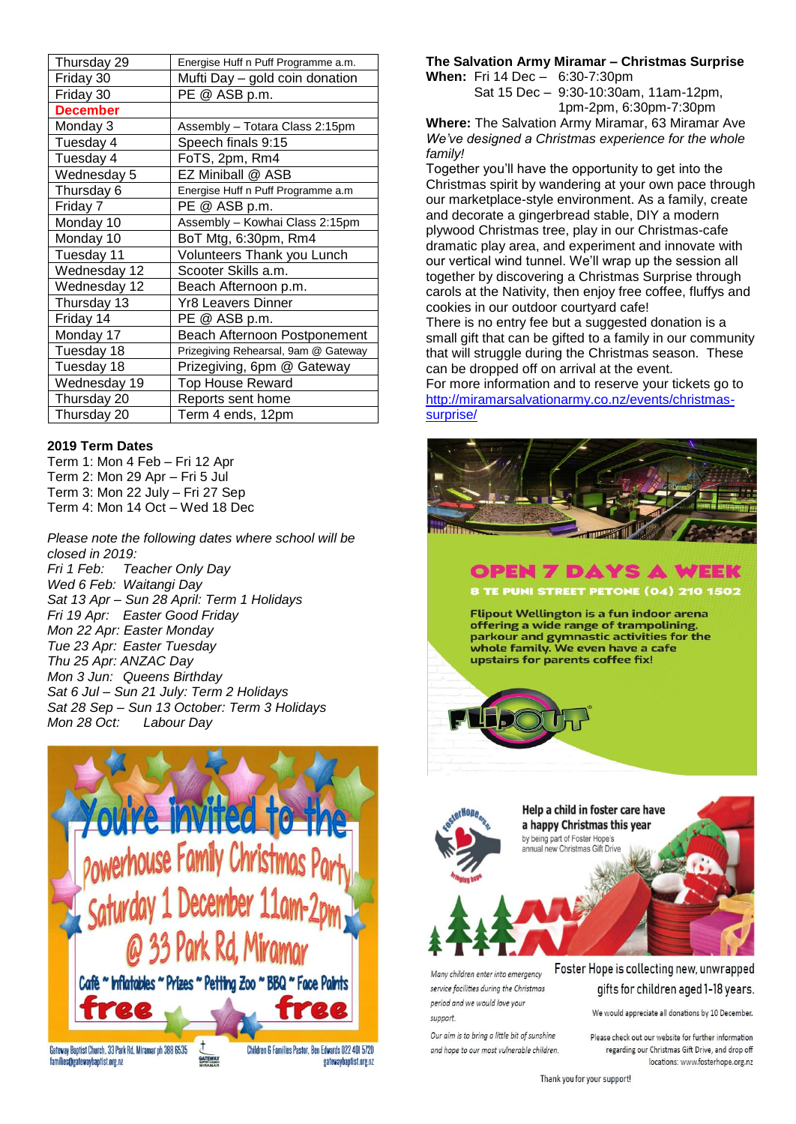| Thursday 29     | Energise Huff n Puff Programme a.m.  |
|-----------------|--------------------------------------|
| Friday 30       | Mufti Day - gold coin donation       |
| Friday 30       | PE @ ASB p.m.                        |
| <b>December</b> |                                      |
| Monday 3        | Assembly – Totara Class 2:15pm       |
| Tuesday 4       | Speech finals 9:15                   |
| Tuesday 4       | FoTS, 2pm, Rm4                       |
| Wednesday 5     | EZ Miniball @ ASB                    |
| Thursday 6      | Energise Huff n Puff Programme a.m   |
| Friday 7        | PE @ ASB p.m.                        |
| Monday 10       | Assembly - Kowhai Class 2:15pm       |
| Monday 10       | BoT Mtg, 6:30pm, Rm4                 |
| Tuesday 11      | Volunteers Thank you Lunch           |
| Wednesday 12    | Scooter Skills a.m.                  |
| Wednesday 12    | Beach Afternoon p.m.                 |
| Thursday 13     | Yr8 Leavers Dinner                   |
| Friday 14       | PE @ ASB p.m.                        |
| Monday 17       | Beach Afternoon Postponement         |
| Tuesday 18      | Prizegiving Rehearsal, 9am @ Gateway |
| Tuesday 18      | Prizegiving, 6pm @ Gateway           |
| Wednesday 19    | <b>Top House Reward</b>              |
| Thursday 20     | Reports sent home                    |
| Thursday 20     | Term 4 ends, 12pm                    |

## **2019 Term Dates**

Term 1: Mon 4 Feb – Fri 12 Apr Term 2: Mon 29 Apr – Fri 5 Jul Term 3: Mon 22 July – Fri 27 Sep Term 4: Mon 14 Oct – Wed 18 Dec

*Please note the following dates where school will be closed in 2019: Fri 1 Feb: Teacher Only Day Wed 6 Feb: Waitangi Day Sat 13 Apr – Sun 28 April: Term 1 Holidays Fri 19 Apr: Easter Good Friday Mon 22 Apr: Easter Monday Tue 23 Apr: Easter Tuesday Thu 25 Apr: ANZAC Day Mon 3 Jun: Queens Birthday Sat 6 Jul – Sun 21 July: Term 2 Holidays Sat 28 Sep – Sun 13 October: Term 3 Holidays Mon 28 Oct: Labour Day*



## **The Salvation Army Miramar – Christmas Surprise**

**When:** Fri 14 Dec – 6:30-7:30pm

Sat 15 Dec – 9:30-10:30am, 11am-12pm, 1pm-2pm, 6:30pm-7:30pm

**Where:** The Salvation Army Miramar, 63 Miramar Ave *We've designed a Christmas experience for the whole family!*

Together you'll have the opportunity to get into the Christmas spirit by wandering at your own pace through our marketplace-style environment. As a family, create and decorate a gingerbread stable, DIY a modern plywood Christmas tree, play in our Christmas-cafe dramatic play area, and experiment and innovate with our vertical wind tunnel. We'll wrap up the session all together by discovering a Christmas Surprise through carols at the Nativity, then enjoy free coffee, fluffys and cookies in our outdoor courtyard cafe!

There is no entry fee but a suggested donation is a small gift that can be gifted to a family in our community that will struggle during the Christmas season. These can be dropped off on arrival at the event.

For more information and to reserve your tickets go to [http://miramarsalvationarmy.co.nz/events/christmas](http://miramarsalvationarmy.co.nz/events/christmas-surprise/)[surprise/](http://miramarsalvationarmy.co.nz/events/christmas-surprise/)



## **OPEN 7 DAYS A WEEK**

8 TE PUNI STREET PETONE (04) 210 1502

**Flipout Wellington is a fun indoor arena** offering a wide range of trampolining, parkour and gymnastic activities for the .<br>whole family. We even have a cafe upstairs for parents coffee fix!





Many children enter into emergency service facilities during the Christmas period and we would love your support.

Our aim is to bring a little bit of sunshine and hope to our most vulnerable children.

Foster Hope is collecting new, unwrapped gifts for children aged 1-18 years.

We would appreciate all donations by 10 December.

Please check out our website for further information regarding our Christmas Gift Drive, and drop off locations: www.fosterhope.org.nz